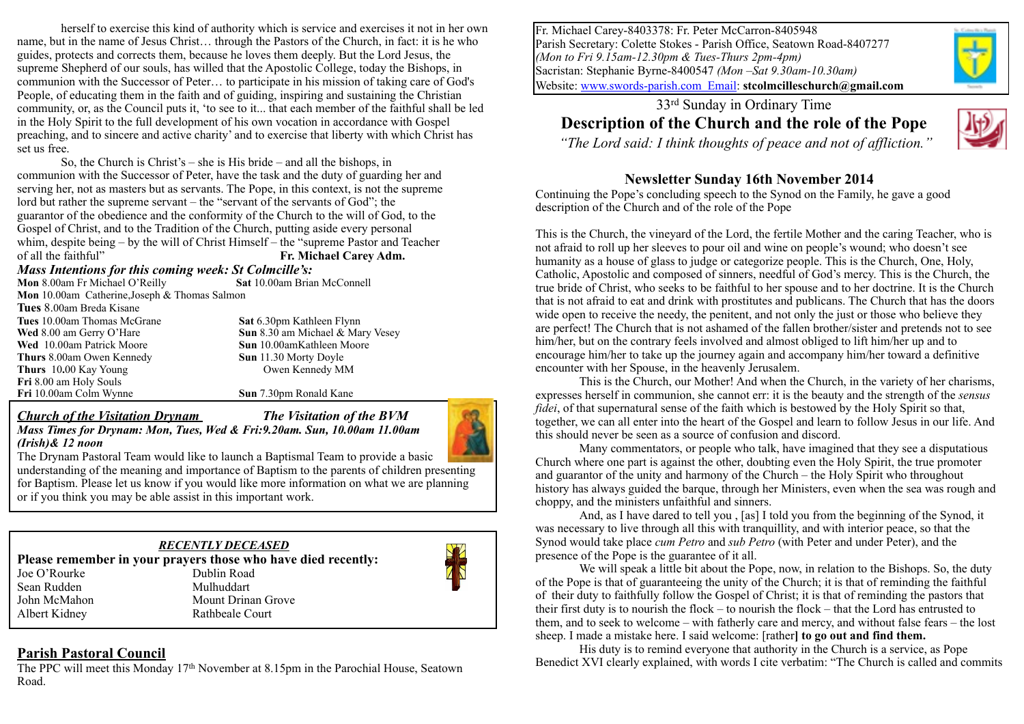herself to exercise this kind of authority which is service and exercises it not in her own name, but in the name of Jesus Christ… through the Pastors of the Church, in fact: it is he who guides, protects and corrects them, because he loves them deeply. But the Lord Jesus, the supreme Shepherd of our souls, has willed that the Apostolic College, today the Bishops, in communion with the Successor of Peter… to participate in his mission of taking care of God's People, of educating them in the faith and of guiding, inspiring and sustaining the Christian community, or, as the Council puts it, 'to see to it... that each member of the faithful shall be led in the Holy Spirit to the full development of his own vocation in accordance with Gospel preaching, and to sincere and active charity' and to exercise that liberty with which Christ has set us free.

So, the Church is Christ's – she is His bride – and all the bishops, in communion with the Successor of Peter, have the task and the duty of guarding her and serving her, not as masters but as servants. The Pope, in this context, is not the supreme lord but rather the supreme servant – the "servant of the servants of God"; the guarantor of the obedience and the conformity of the Church to the will of God, to the Gospel of Christ, and to the Tradition of the Church, putting aside every personal whim, despite being – by the will of Christ Himself – the "supreme Pastor and Teacher of all the faithful" **Fr. Michael Carey Adm.**

*Mass Intentions for this coming week: St Colmcille's:* 

**Mon** 8.00am Fr Michael O'Reilly **Mon** 10.00am Catherine,Joseph & Thomas Salmon **Tues** 8.00am Breda Kisane **Tues** 10.00am Thomas McGrane **Sat** 6.30pm Kathleen Flynn **Wed** 8.00 am Gerry O'Hare **Sun** 8.30 am Michael & Mary Vesey **Wed** 10.00am Patrick Moore **Sun** 10.00amKathleen Moore **Thurs** 8.00am Owen Kennedy **Sun** 11.30 Morty Doyle **Thurs** 10.00 Kay Young Owen Kennedy MM **Fri** 8.00 am Holy Souls **Fri** 10.00am Colm Wynne **Sun** 7.30pm Ronald Kane

*(Irish)& 12 noon* 

*Church of the Visitation Drynam**The Visitation of the BVM Mass Times for Drynam: Mon, Tues, Wed & Fri:9.20am. Sun, 10.00am 11.00am* 



The Drynam Pastoral Team would like to launch a Baptismal Team to provide a basic understanding of the meaning and importance of Baptism to the parents of children presenting for Baptism. Please let us know if you would like more information on what we are planning or if you think you may be able assist in this important work.

#### *RECENTLY DECEASED*  **Please remember in your prayers those who have died recently:**  Joe O'Rourke Dublin Road Sean Rudden Mulhuddart John McMahon Mount Drinan Grove Albert Kidney Rathbeale Court

# **Parish Pastoral Council**

The PPC will meet this Monday 17th November at 8.15pm in the Parochial House, Seatown Road.

Fr. Michael Carey-8403378: Fr. Peter McCarron-8405948 Parish Secretary: Colette Stokes - Parish Office, Seatown Road-8407277 *(Mon to Fri 9.15am-12.30pm & Tues-Thurs 2pm-4pm)* Sacristan: Stephanie Byrne-8400547 *(Mon –Sat 9.30am-10.30am)* Website: [www.swords-parish.com Email:](http://www.swords-parish.com%20%20email) **stcolmcilleschurch@gmail.com**

# 33rd Sunday in Ordinary Time **Description of the Church and the role of the Pope**



 *"The Lord said: I think thoughts of peace and not of affliction."* 

## **Newsletter Sunday 16th November 2014**

Continuing the Pope's concluding speech to the Synod on the Family, he gave a good description of the Church and of the role of the Pope

This is the Church, the vineyard of the Lord, the fertile Mother and the caring Teacher, who is not afraid to roll up her sleeves to pour oil and wine on people's wound; who doesn't see humanity as a house of glass to judge or categorize people. This is the Church, One, Holy, Catholic, Apostolic and composed of sinners, needful of God's mercy. This is the Church, the true bride of Christ, who seeks to be faithful to her spouse and to her doctrine. It is the Church that is not afraid to eat and drink with prostitutes and publicans. The Church that has the doors wide open to receive the needy, the penitent, and not only the just or those who believe they are perfect! The Church that is not ashamed of the fallen brother/sister and pretends not to see him/her, but on the contrary feels involved and almost obliged to lift him/her up and to encourage him/her to take up the journey again and accompany him/her toward a definitive encounter with her Spouse, in the heavenly Jerusalem.

 This is the Church, our Mother! And when the Church, in the variety of her charisms, expresses herself in communion, she cannot err: it is the beauty and the strength of the *sensus fidei*, of that supernatural sense of the faith which is bestowed by the Holy Spirit so that, together, we can all enter into the heart of the Gospel and learn to follow Jesus in our life. And this should never be seen as a source of confusion and discord.

Many commentators, or people who talk, have imagined that they see a disputatious Church where one part is against the other, doubting even the Holy Spirit, the true promoter and guarantor of the unity and harmony of the Church – the Holy Spirit who throughout history has always guided the barque, through her Ministers, even when the sea was rough and choppy, and the ministers unfaithful and sinners.

And, as I have dared to tell you , [as] I told you from the beginning of the Synod, it was necessary to live through all this with tranquillity, and with interior peace, so that the Synod would take place *cum Petro* and *sub Petro* (with Peter and under Peter), and the presence of the Pope is the guarantee of it all.

We will speak a little bit about the Pope, now, in relation to the Bishops. So, the duty of the Pope is that of guaranteeing the unity of the Church; it is that of reminding the faithful of their duty to faithfully follow the Gospel of Christ; it is that of reminding the pastors that their first duty is to nourish the flock – to nourish the flock – that the Lord has entrusted to them, and to seek to welcome – with fatherly care and mercy, and without false fears – the lost sheep. I made a mistake here. I said welcome: [rather**] to go out and find them.** 

His duty is to remind everyone that authority in the Church is a service, as Pope Benedict XVI clearly explained, with words I cite verbatim: "The Church is called and commits